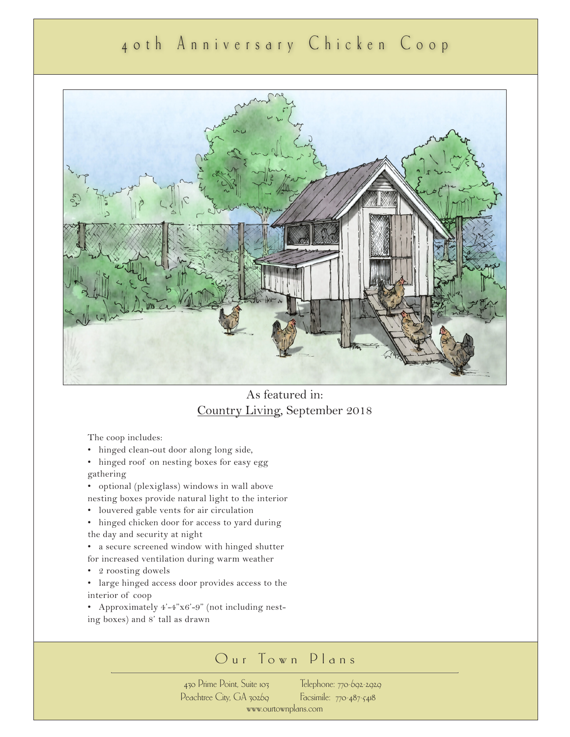## 40th Anniversary Chicken Coop



### As featured in: Country Living, September 2018

The coop includes:

- hinged clean-out door along long side,
- hinged roof on nesting boxes for easy egg gathering
- optional (plexiglass) windows in wall above nesting boxes provide natural light to the interior
- louvered gable vents for air circulation
- hinged chicken door for access to yard during the day and security at night
- a secure screened window with hinged shutter
- for increased ventilation during warm weather
- 2 roosting dowels
- large hinged access door provides access to the interior of coop
- Approximately 4'-4"x6'-9" (not including nesting boxes) and 8' tall as drawn

## Our Town Plans

430 Prime Point, Suite 103 Peachtree City, GA 30269 Telephone: 770-692-2929 Facsimile: 770-487-5418 www.ourtownplans.com